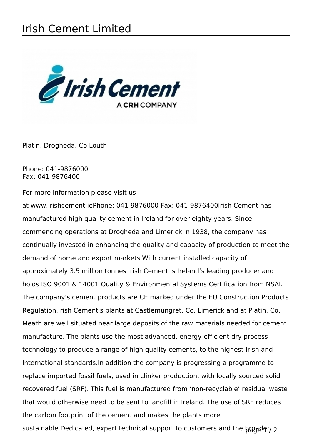## Irish Cement Limited



Platin, Drogheda, Co Louth

Phone: 041-9876000 Fax: 041-9876400

For more information please visit us

at www.irishcement.iePhone: 041-9876000 Fax: 041-9876400Irish Cement has manufactured high quality cement in Ireland for over eighty years. Since commencing operations at Drogheda and Limerick in 1938, the company has continually invested in enhancing the quality and capacity of production to meet the demand of home and export markets.With current installed capacity of approximately 3.5 million tonnes Irish Cement is Ireland's leading producer and holds ISO 9001 & 14001 Quality & Environmental Systems Certification from NSAI. The company's cement products are CE marked under the EU Construction Products Regulation.Irish Cement's plants at Castlemungret, Co. Limerick and at Platin, Co. Meath are well situated near large deposits of the raw materials needed for cement manufacture. The plants use the most advanced, energy-efficient dry process technology to produce a range of high quality cements, to the highest Irish and International standards.In addition the company is progressing a programme to replace imported fossil fuels, used in clinker production, with locally sourced solid recovered fuel (SRF). This fuel is manufactured from 'non-recyclable' residual waste that would otherwise need to be sent to landfill in Ireland. The use of SRF reduces the carbon footprint of the cement and makes the plants more sustainable.Dedicated, expert technical support to customers and the brand page 1/2